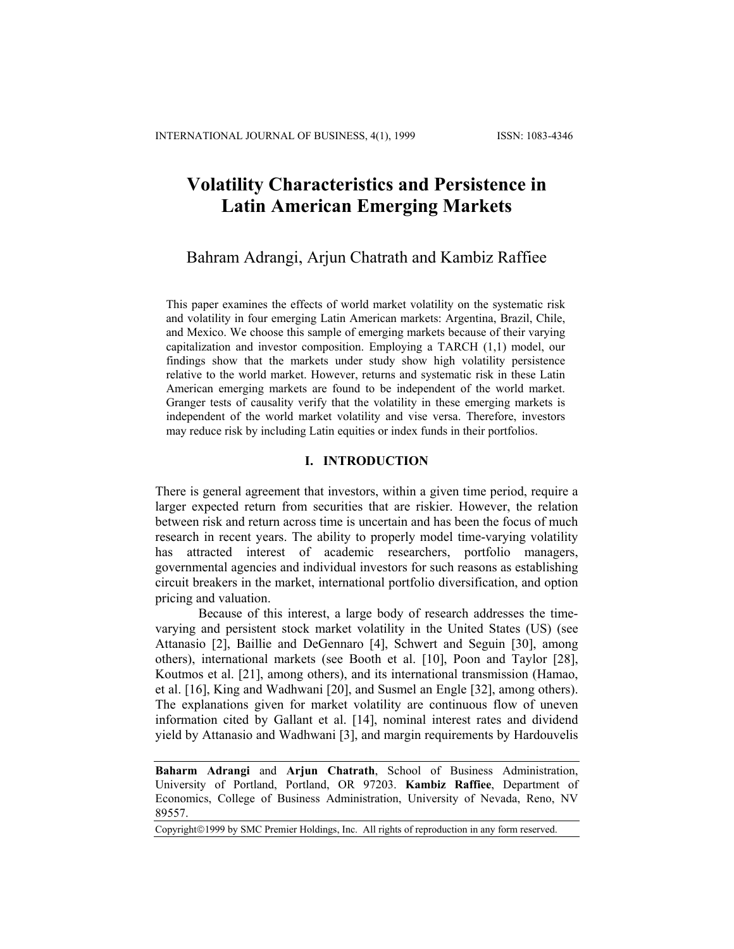# **Volatility Characteristics and Persistence in Latin American Emerging Markets**

# Bahram Adrangi, Arjun Chatrath and Kambiz Raffiee

This paper examines the effects of world market volatility on the systematic risk and volatility in four emerging Latin American markets: Argentina, Brazil, Chile, and Mexico. We choose this sample of emerging markets because of their varying capitalization and investor composition. Employing a TARCH (1,1) model, our findings show that the markets under study show high volatility persistence relative to the world market. However, returns and systematic risk in these Latin American emerging markets are found to be independent of the world market. Granger tests of causality verify that the volatility in these emerging markets is independent of the world market volatility and vise versa. Therefore, investors may reduce risk by including Latin equities or index funds in their portfolios.

# **I. INTRODUCTION**

There is general agreement that investors, within a given time period, require a larger expected return from securities that are riskier. However, the relation between risk and return across time is uncertain and has been the focus of much research in recent years. The ability to properly model time-varying volatility has attracted interest of academic researchers, portfolio managers, governmental agencies and individual investors for such reasons as establishing circuit breakers in the market, international portfolio diversification, and option pricing and valuation.

Because of this interest, a large body of research addresses the timevarying and persistent stock market volatility in the United States (US) (see Attanasio [2], Baillie and DeGennaro [4], Schwert and Seguin [30], among others), international markets (see Booth et al. [10], Poon and Taylor [28], Koutmos et al. [21], among others), and its international transmission (Hamao, et al. [16], King and Wadhwani [20], and Susmel an Engle [32], among others). The explanations given for market volatility are continuous flow of uneven information cited by Gallant et al. [14], nominal interest rates and dividend yield by Attanasio and Wadhwani [3], and margin requirements by Hardouvelis

**Baharm Adrangi** and **Arjun Chatrath**, School of Business Administration, University of Portland, Portland, OR 97203. **Kambiz Raffiee**, Department of Economics, College of Business Administration, University of Nevada, Reno, NV 89557.

Copyright©1999 by SMC Premier Holdings, Inc. All rights of reproduction in any form reserved.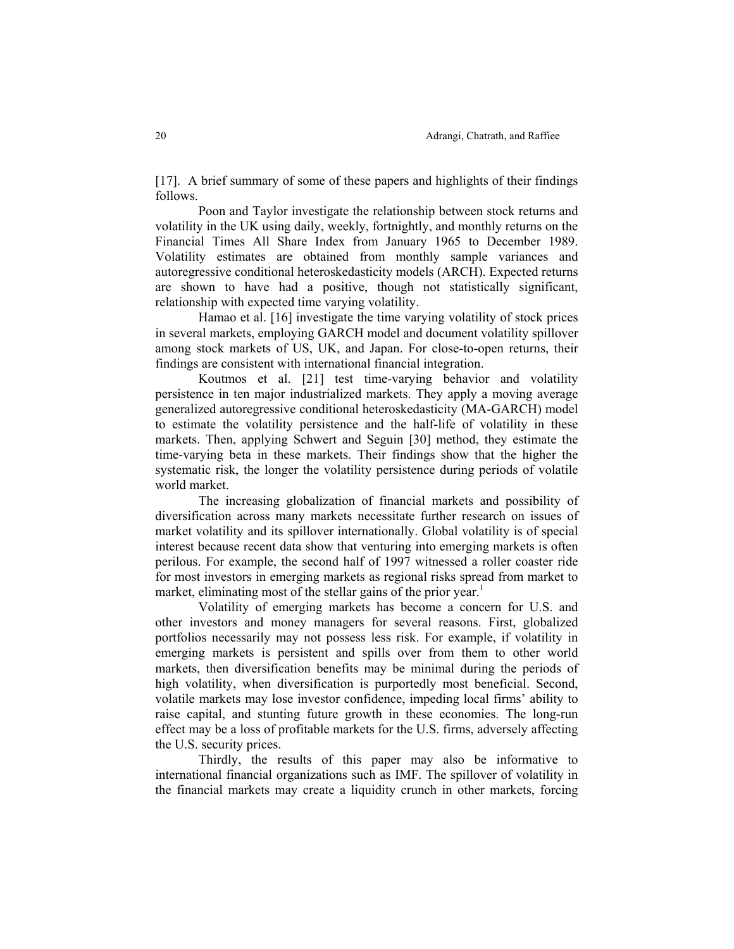[17]. A brief summary of some of these papers and highlights of their findings follows.

Poon and Taylor investigate the relationship between stock returns and volatility in the UK using daily, weekly, fortnightly, and monthly returns on the Financial Times All Share Index from January 1965 to December 1989. Volatility estimates are obtained from monthly sample variances and autoregressive conditional heteroskedasticity models (ARCH). Expected returns are shown to have had a positive, though not statistically significant, relationship with expected time varying volatility.

Hamao et al. [16] investigate the time varying volatility of stock prices in several markets, employing GARCH model and document volatility spillover among stock markets of US, UK, and Japan. For close-to-open returns, their findings are consistent with international financial integration.

Koutmos et al. [21] test time-varying behavior and volatility persistence in ten major industrialized markets. They apply a moving average generalized autoregressive conditional heteroskedasticity (MA-GARCH) model to estimate the volatility persistence and the half-life of volatility in these markets. Then, applying Schwert and Seguin [30] method, they estimate the time-varying beta in these markets. Their findings show that the higher the systematic risk, the longer the volatility persistence during periods of volatile world market.

The increasing globalization of financial markets and possibility of diversification across many markets necessitate further research on issues of market volatility and its spillover internationally. Global volatility is of special interest because recent data show that venturing into emerging markets is often perilous. For example, the second half of 1997 witnessed a roller coaster ride for most investors in emerging markets as regional risks spread from market to market, eliminating most of the stellar gains of the prior year.<sup>1</sup>

Volatility of emerging markets has become a concern for U.S. and other investors and money managers for several reasons. First, globalized portfolios necessarily may not possess less risk. For example, if volatility in emerging markets is persistent and spills over from them to other world markets, then diversification benefits may be minimal during the periods of high volatility, when diversification is purportedly most beneficial. Second, volatile markets may lose investor confidence, impeding local firms' ability to raise capital, and stunting future growth in these economies. The long-run effect may be a loss of profitable markets for the U.S. firms, adversely affecting the U.S. security prices.

Thirdly, the results of this paper may also be informative to international financial organizations such as IMF. The spillover of volatility in the financial markets may create a liquidity crunch in other markets, forcing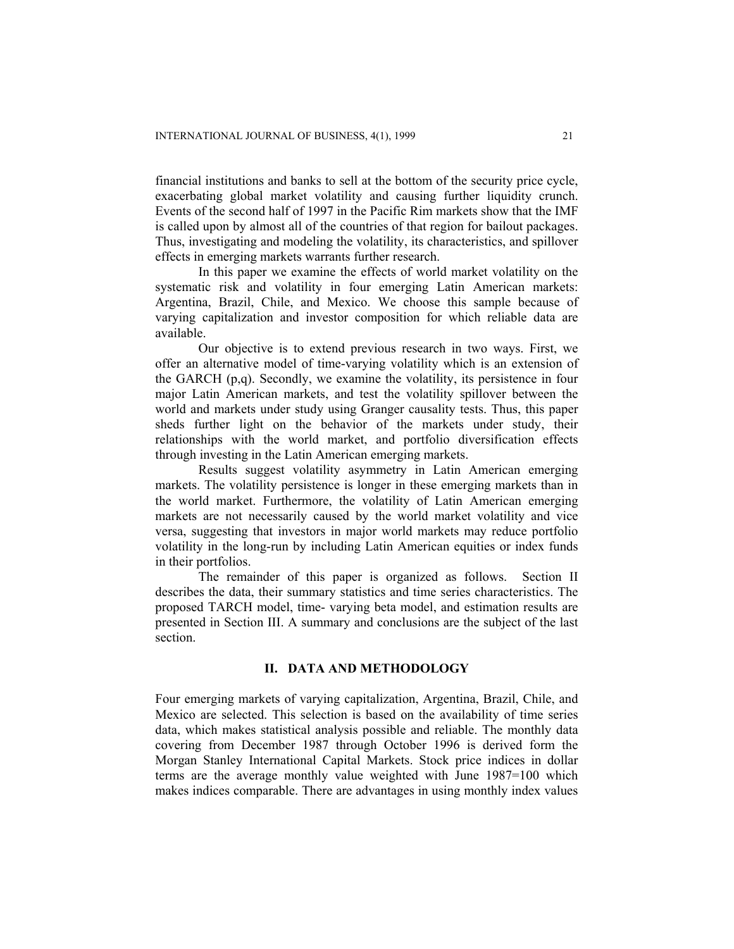financial institutions and banks to sell at the bottom of the security price cycle, exacerbating global market volatility and causing further liquidity crunch. Events of the second half of 1997 in the Pacific Rim markets show that the IMF is called upon by almost all of the countries of that region for bailout packages. Thus, investigating and modeling the volatility, its characteristics, and spillover effects in emerging markets warrants further research.

In this paper we examine the effects of world market volatility on the systematic risk and volatility in four emerging Latin American markets: Argentina, Brazil, Chile, and Mexico. We choose this sample because of varying capitalization and investor composition for which reliable data are available.

Our objective is to extend previous research in two ways. First, we offer an alternative model of time-varying volatility which is an extension of the GARCH (p,q). Secondly, we examine the volatility, its persistence in four major Latin American markets, and test the volatility spillover between the world and markets under study using Granger causality tests. Thus, this paper sheds further light on the behavior of the markets under study, their relationships with the world market, and portfolio diversification effects through investing in the Latin American emerging markets.

Results suggest volatility asymmetry in Latin American emerging markets. The volatility persistence is longer in these emerging markets than in the world market. Furthermore, the volatility of Latin American emerging markets are not necessarily caused by the world market volatility and vice versa, suggesting that investors in major world markets may reduce portfolio volatility in the long-run by including Latin American equities or index funds in their portfolios.

The remainder of this paper is organized as follows. Section II describes the data, their summary statistics and time series characteristics. The proposed TARCH model, time- varying beta model, and estimation results are presented in Section III. A summary and conclusions are the subject of the last section.

# **II. DATA AND METHODOLOGY**

Four emerging markets of varying capitalization, Argentina, Brazil, Chile, and Mexico are selected. This selection is based on the availability of time series data, which makes statistical analysis possible and reliable. The monthly data covering from December 1987 through October 1996 is derived form the Morgan Stanley International Capital Markets. Stock price indices in dollar terms are the average monthly value weighted with June 1987=100 which makes indices comparable. There are advantages in using monthly index values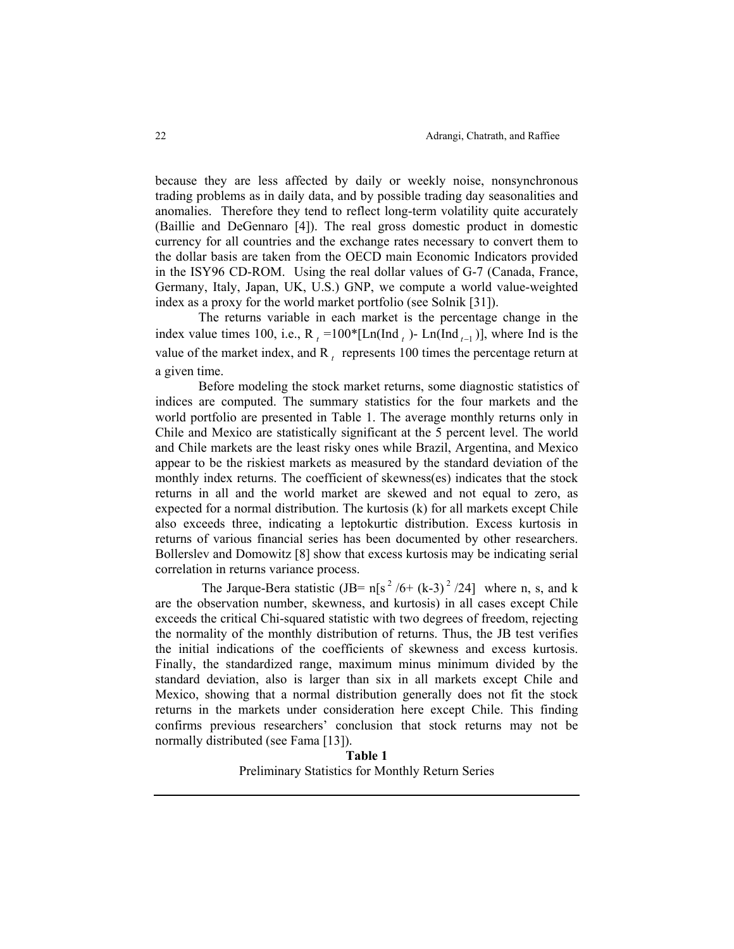because they are less affected by daily or weekly noise, nonsynchronous trading problems as in daily data, and by possible trading day seasonalities and anomalies. Therefore they tend to reflect long-term volatility quite accurately (Baillie and DeGennaro [4]). The real gross domestic product in domestic currency for all countries and the exchange rates necessary to convert them to the dollar basis are taken from the OECD main Economic Indicators provided in the ISY96 CD-ROM. Using the real dollar values of G-7 (Canada, France, Germany, Italy, Japan, UK, U.S.) GNP, we compute a world value-weighted index as a proxy for the world market portfolio (see Solnik [31]).

The returns variable in each market is the percentage change in the index value times 100, i.e.,  $R_t = 100 * [Ln(Ind_t) - Ln(Ind_{t-1})]$ , where Ind is the value of the market index, and  $R_t$  represents 100 times the percentage return at a given time.

Before modeling the stock market returns, some diagnostic statistics of indices are computed. The summary statistics for the four markets and the world portfolio are presented in Table 1. The average monthly returns only in Chile and Mexico are statistically significant at the 5 percent level. The world and Chile markets are the least risky ones while Brazil, Argentina, and Mexico appear to be the riskiest markets as measured by the standard deviation of the monthly index returns. The coefficient of skewness(es) indicates that the stock returns in all and the world market are skewed and not equal to zero, as expected for a normal distribution. The kurtosis (k) for all markets except Chile also exceeds three, indicating a leptokurtic distribution. Excess kurtosis in returns of various financial series has been documented by other researchers. Bollerslev and Domowitz [8] show that excess kurtosis may be indicating serial correlation in returns variance process.

The Jarque-Bera statistic (JB=  $n[s^2 / 6 + (k-3)^2 / 24]$  where n, s, and k are the observation number, skewness, and kurtosis) in all cases except Chile exceeds the critical Chi-squared statistic with two degrees of freedom, rejecting the normality of the monthly distribution of returns. Thus, the JB test verifies the initial indications of the coefficients of skewness and excess kurtosis. Finally, the standardized range, maximum minus minimum divided by the standard deviation, also is larger than six in all markets except Chile and Mexico, showing that a normal distribution generally does not fit the stock returns in the markets under consideration here except Chile. This finding confirms previous researchers' conclusion that stock returns may not be normally distributed (see Fama [13]).

> **Table 1**  Preliminary Statistics for Monthly Return Series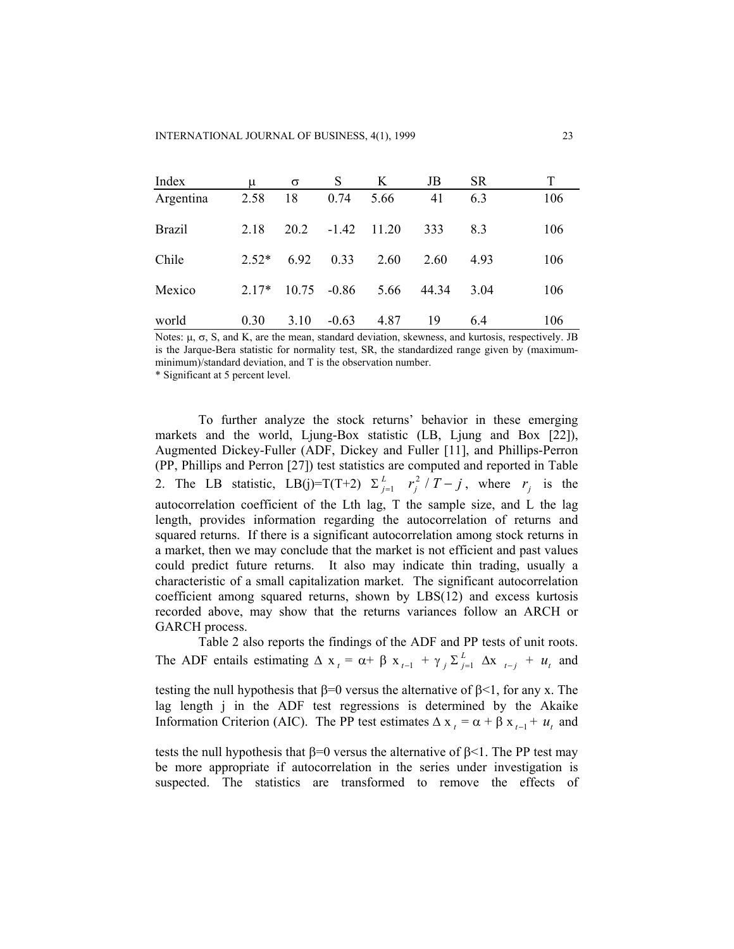| Index         | μ       | σ     | S       | K     | JB    | SR.  |     |
|---------------|---------|-------|---------|-------|-------|------|-----|
| Argentina     | 2.58    | 18    | 0.74    | 5.66  | 41    | 6.3  | 106 |
| <b>Brazil</b> | 2.18    | 20.2  | $-1.42$ | 11.20 | 333   | 83   | 106 |
| Chile         | $2.52*$ | 6.92  | 0.33    | 2.60  | 2.60  | 4.93 | 106 |
| Mexico        | $2.17*$ | 10.75 | $-0.86$ | 5.66  | 44.34 | 3.04 | 106 |
| world         | 0.30    | 3.10  | $-0.63$ | 4.87  | 19    | 6.4  | 106 |

Notes:  $\mu$ ,  $\sigma$ , S, and K, are the mean, standard deviation, skewness, and kurtosis, respectively. JB is the Jarque-Bera statistic for normality test, SR, the standardized range given by (maximumminimum)/standard deviation, and T is the observation number.

\* Significant at 5 percent level.

To further analyze the stock returns' behavior in these emerging markets and the world, Ljung-Box statistic (LB, Ljung and Box [22]), Augmented Dickey-Fuller (ADF, Dickey and Fuller [11], and Phillips-Perron (PP, Phillips and Perron [27]) test statistics are computed and reported in Table 2. The LB statistic, LB(j)=T(T+2)  $\Sigma_{j=1}^{L}$   $r_j^2 / T - j$ , where  $r_j$  is the autocorrelation coefficient of the Lth lag, T the sample size, and L the lag length, provides information regarding the autocorrelation of returns and squared returns. If there is a significant autocorrelation among stock returns in a market, then we may conclude that the market is not efficient and past values could predict future returns. It also may indicate thin trading, usually a characteristic of a small capitalization market. The significant autocorrelation coefficient among squared returns, shown by LBS(12) and excess kurtosis recorded above, may show that the returns variances follow an ARCH or GARCH process.  $\int_{j=1}^{L} r_j^2 / T - j$ , where  $r_j$ 

Table 2 also reports the findings of the ADF and PP tests of unit roots. The ADF entails estimating  $\Delta x_t = \alpha + \beta x_{t-1} + \gamma_i \sum_{j=1}^L \Delta x_{t-j} + u_t$  and *L*  $\Delta x$ <sub>*t−j*</sub> +  $u_t$ 

testing the null hypothesis that  $\beta=0$  versus the alternative of  $\beta<1$ , for any x. The lag length j in the ADF test regressions is determined by the Akaike Information Criterion (AIC). The PP test estimates  $\Delta x_t = \alpha + \beta x_{t-1} + u_t$  and

tests the null hypothesis that  $\beta=0$  versus the alternative of  $\beta<1$ . The PP test may be more appropriate if autocorrelation in the series under investigation is suspected. The statistics are transformed to remove the effects of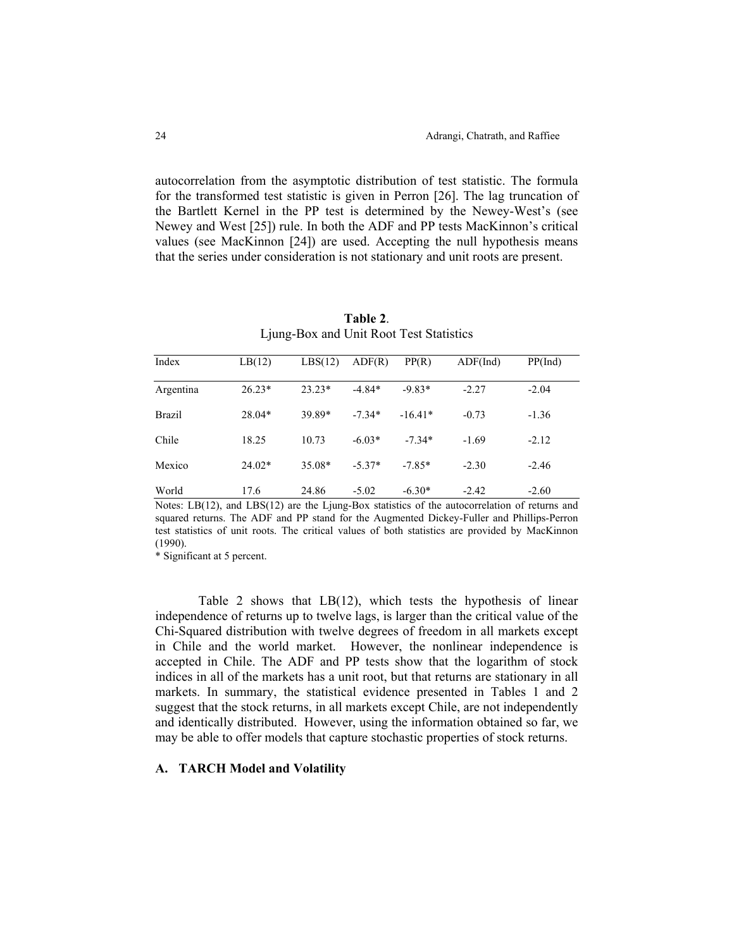autocorrelation from the asymptotic distribution of test statistic. The formula for the transformed test statistic is given in Perron [26]. The lag truncation of the Bartlett Kernel in the PP test is determined by the Newey-West's (see Newey and West [25]) rule. In both the ADF and PP tests MacKinnon's critical values (see MacKinnon [24]) are used. Accepting the null hypothesis means that the series under consideration is not stationary and unit roots are present.

| Index         | LB(12)   | LBS(12)  | ADF(R)   | PP(R)     | ADF(Ind) | PP(Ind) |
|---------------|----------|----------|----------|-----------|----------|---------|
|               |          |          |          |           |          |         |
| Argentina     | $26.23*$ | $23.23*$ | $-4.84*$ | $-9.83*$  | $-2.27$  | $-2.04$ |
| <b>Brazil</b> | $28.04*$ | 39.89*   | $-7.34*$ | $-16.41*$ | $-0.73$  | $-1.36$ |
| Chile         | 18.25    | 10.73    | $-6.03*$ | $-7.34*$  | $-1.69$  | $-2.12$ |
| Mexico        | $24.02*$ | 35.08*   | $-5.37*$ | $-7.85*$  | $-2.30$  | $-2.46$ |
| World         | 17.6     | 24.86    | $-5.02$  | $-6.30*$  | $-2.42$  | $-2.60$ |

**Table 2**. Ljung-Box and Unit Root Test Statistics

Notes: LB(12), and LBS(12) are the Ljung-Box statistics of the autocorrelation of returns and squared returns. The ADF and PP stand for the Augmented Dickey-Fuller and Phillips-Perron test statistics of unit roots. The critical values of both statistics are provided by MacKinnon (1990).

\* Significant at 5 percent.

Table 2 shows that LB(12), which tests the hypothesis of linear independence of returns up to twelve lags, is larger than the critical value of the Chi-Squared distribution with twelve degrees of freedom in all markets except in Chile and the world market. However, the nonlinear independence is accepted in Chile. The ADF and PP tests show that the logarithm of stock indices in all of the markets has a unit root, but that returns are stationary in all markets. In summary, the statistical evidence presented in Tables 1 and 2 suggest that the stock returns, in all markets except Chile, are not independently and identically distributed. However, using the information obtained so far, we may be able to offer models that capture stochastic properties of stock returns.

#### **A. TARCH Model and Volatility**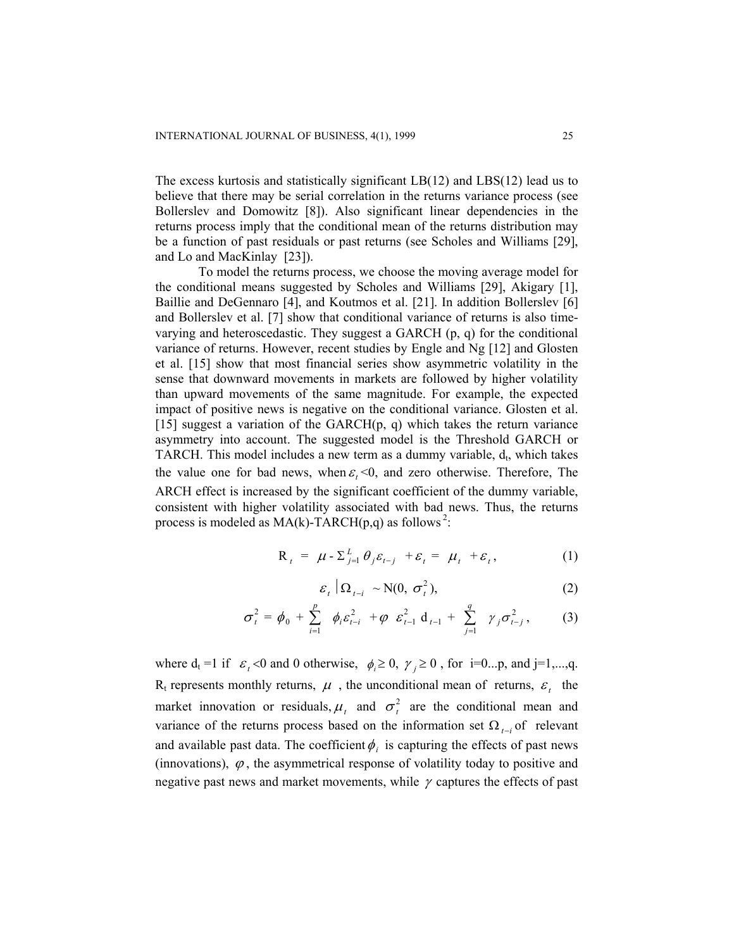The excess kurtosis and statistically significant LB(12) and LBS(12) lead us to believe that there may be serial correlation in the returns variance process (see Bollerslev and Domowitz [8]). Also significant linear dependencies in the returns process imply that the conditional mean of the returns distribution may be a function of past residuals or past returns (see Scholes and Williams [29], and Lo and MacKinlay [23]).

To model the returns process, we choose the moving average model for the conditional means suggested by Scholes and Williams [29], Akigary [1], Baillie and DeGennaro [4], and Koutmos et al. [21]. In addition Bollerslev [6] and Bollerslev et al. [7] show that conditional variance of returns is also timevarying and heteroscedastic. They suggest a GARCH (p, q) for the conditional variance of returns. However, recent studies by Engle and Ng [12] and Glosten et al. [15] show that most financial series show asymmetric volatility in the sense that downward movements in markets are followed by higher volatility than upward movements of the same magnitude. For example, the expected impact of positive news is negative on the conditional variance. Glosten et al. [15] suggest a variation of the GARCH $(p, q)$  which takes the return variance asymmetry into account. The suggested model is the Threshold GARCH or TARCH. This model includes a new term as a dummy variable,  $d_t$ , which takes the value one for bad news, when  $\varepsilon_t < 0$ , and zero otherwise. Therefore, The ARCH effect is increased by the significant coefficient of the dummy variable, consistent with higher volatility associated with bad news. Thus, the returns process is modeled as  $MA(k)$ -TARCH(p,q) as follows<sup>2</sup>:

$$
\mathbf{R}_{t} = \boldsymbol{\mu} - \sum_{j=1}^{L} \theta_{j} \varepsilon_{t-j} + \varepsilon_{t} = \boldsymbol{\mu}_{t} + \varepsilon_{t}, \qquad (1)
$$

$$
\varepsilon_t \mid \Omega_{t-i} \sim \text{N}(0, \sigma_t^2), \tag{2}
$$

$$
\sigma_t^2 = \phi_0 + \sum_{i=1}^p \phi_i \varepsilon_{t-i}^2 + \varphi \varepsilon_{t-1}^2 d_{t-1} + \sum_{j=1}^q \gamma_j \sigma_{t-j}^2, \qquad (3)
$$

where  $d_t = 1$  if  $\varepsilon_t < 0$  and 0 otherwise,  $\phi_i \ge 0$ ,  $\gamma_i \ge 0$ , for i=0...p, and j=1,...,q.  $R_t$  represents monthly returns,  $\mu$ , the unconditional mean of returns,  $\varepsilon_t$  the market innovation or residuals,  $\mu_t$  and  $\sigma_t^2$  are the conditional mean and variance of the returns process based on the information set  $\Omega_{t-i}$  of relevant and available past data. The coefficient  $\phi_i$  is capturing the effects of past news (innovations),  $\varphi$ , the asymmetrical response of volatility today to positive and negative past news and market movements, while  $\gamma$  captures the effects of past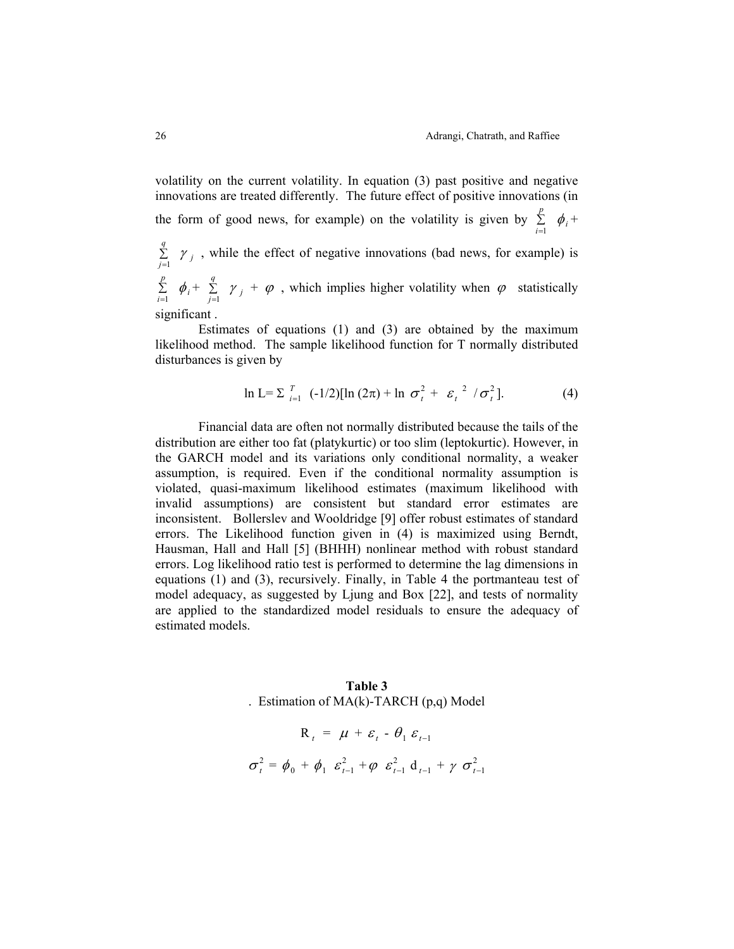volatility on the current volatility. In equation (3) past positive and negative innovations are treated differently. The future effect of positive innovations (in the form of good news, for example) on the volatility is given by  $\sum_{i=1}^{n}$ *p*  $\sum_{i=1}^{6} \phi_i +$ ∑ = *q*  $\sum_{j=1}^{n}$   $\gamma_j$ , while the effect of negative innovations (bad news, for example) is *p q*

∑<br>i=l  $\sum_{i=1}^{r} \phi_i + \sum_{j=1}^{r}$  $\sum_{j=1}^{n}$   $\gamma_j$  +  $\varphi$ , which implies higher volatility when  $\varphi$  statistically significant .

Estimates of equations (1) and (3) are obtained by the maximum likelihood method. The sample likelihood function for T normally distributed disturbances is given by

$$
\ln L = \sum_{i=1}^{T} (-1/2) [\ln (2\pi) + \ln \sigma_t^2 + \varepsilon_t^2 / \sigma_t^2].
$$
 (4)

Financial data are often not normally distributed because the tails of the distribution are either too fat (platykurtic) or too slim (leptokurtic). However, in the GARCH model and its variations only conditional normality, a weaker assumption, is required. Even if the conditional normality assumption is violated, quasi-maximum likelihood estimates (maximum likelihood with invalid assumptions) are consistent but standard error estimates are inconsistent. Bollerslev and Wooldridge [9] offer robust estimates of standard errors. The Likelihood function given in (4) is maximized using Berndt, Hausman, Hall and Hall [5] (BHHH) nonlinear method with robust standard errors. Log likelihood ratio test is performed to determine the lag dimensions in equations (1) and (3), recursively. Finally, in Table 4 the portmanteau test of model adequacy, as suggested by Ljung and Box [22], and tests of normality are applied to the standardized model residuals to ensure the adequacy of estimated models.

# **Table 3**  . Estimation of MA(k)-TARCH (p,q) Model

*t*  $\sigma_t^2 = \phi_0 + \phi_1 \varepsilon_{t-1}^2 + \varphi \varepsilon_{t-1}^2 d_{t-1} + \gamma \sigma_{t-1}^2$  $R_t = \mu + \varepsilon_t - \theta_1 \varepsilon_{t-1}$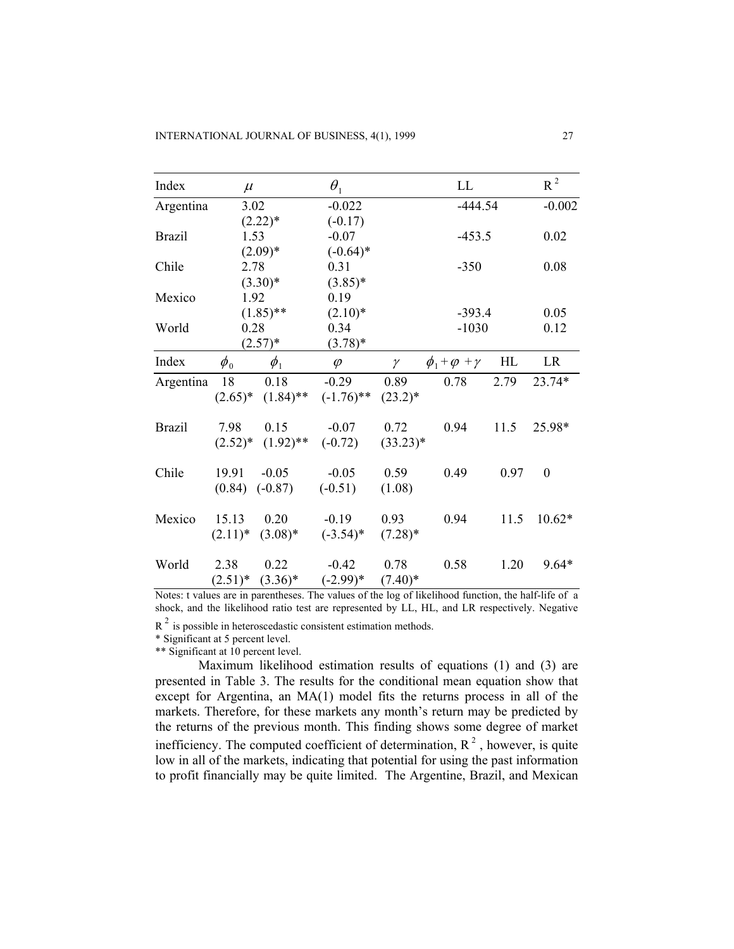| Index         | $\mu$      |                          | $\theta_1$   |            | LL                          |      | $R^2$        |
|---------------|------------|--------------------------|--------------|------------|-----------------------------|------|--------------|
| Argentina     | 3.02       |                          | $-0.022$     |            | $-444.54$                   |      | $-0.002$     |
|               |            | $(2.22)^*$               | $(-0.17)$    |            |                             |      |              |
| <b>Brazil</b> | 1.53       |                          | $-0.07$      |            | $-453.5$                    |      | 0.02         |
|               |            | $(2.09)*$                | $(-0.64)$ *  |            |                             |      |              |
| Chile         | 2.78       |                          | 0.31         |            | $-350$                      |      | 0.08         |
|               |            | $(3.30)*$                | $(3.85)*$    |            |                             |      |              |
| Mexico        | 1.92       |                          | 0.19         |            |                             |      |              |
|               |            | $(1.85)$ **              | $(2.10)*$    |            | $-393.4$                    |      | 0.05         |
| World         | 0.28       |                          | 0.34         |            | $-1030$                     |      | 0.12         |
|               |            | $(2.57)^*$               | $(3.78)^*$   |            |                             |      |              |
| Index         | $\phi_{0}$ | $\phi_1$                 | $\varphi$    | $\gamma$   | $\phi_1 + \varphi + \gamma$ | HL   | LR           |
| Argentina     | 18         | 0.18                     | $-0.29$      | 0.89       | 0.78                        | 2.79 | 23.74*       |
|               |            | $(2.65)^*$ $(1.84)^{**}$ | $(-1.76)$ ** | $(23.2)^*$ |                             |      |              |
| <b>Brazil</b> | 7.98       | 0.15                     | $-0.07$      | 0.72       | 0.94                        | 11.5 | 25.98*       |
|               |            | $(2.52)^*$ $(1.92)^{**}$ | $(-0.72)$    | $(33.23)*$ |                             |      |              |
| Chile         | 19.91      | $-0.05$                  | $-0.05$      | 0.59       | 0.49                        | 0.97 | $\mathbf{0}$ |
|               |            | $(0.84)$ $(-0.87)$       | $(-0.51)$    | (1.08)     |                             |      |              |
| Mexico        | 15.13      | 0.20                     | $-0.19$      | 0.93       | 0.94                        | 11.5 | $10.62*$     |
|               |            | $(2.11)^*$ $(3.08)^*$    | $(-3.54)^*$  | $(7.28)^*$ |                             |      |              |
| World         | 2.38       | 0.22                     | $-0.42$      | 0.78       | 0.58                        | 1.20 | $9.64*$      |
|               | $(2.51)^*$ | $(3.36)^*$               | $(-2.99)*$   | $(7.40)^*$ |                             |      |              |

Notes: t values are in parentheses. The values of the log of likelihood function, the half-life of a shock, and the likelihood ratio test are represented by LL, HL, and LR respectively. Negative

 $R<sup>2</sup>$  is possible in heteroscedastic consistent estimation methods.

\* Significant at 5 percent level.

\*\* Significant at 10 percent level.

Maximum likelihood estimation results of equations (1) and (3) are presented in Table 3. The results for the conditional mean equation show that except for Argentina, an MA(1) model fits the returns process in all of the markets. Therefore, for these markets any month's return may be predicted by the returns of the previous month. This finding shows some degree of market inefficiency. The computed coefficient of determination,  $R^2$ , however, is quite low in all of the markets, indicating that potential for using the past information to profit financially may be quite limited. The Argentine, Brazil, and Mexican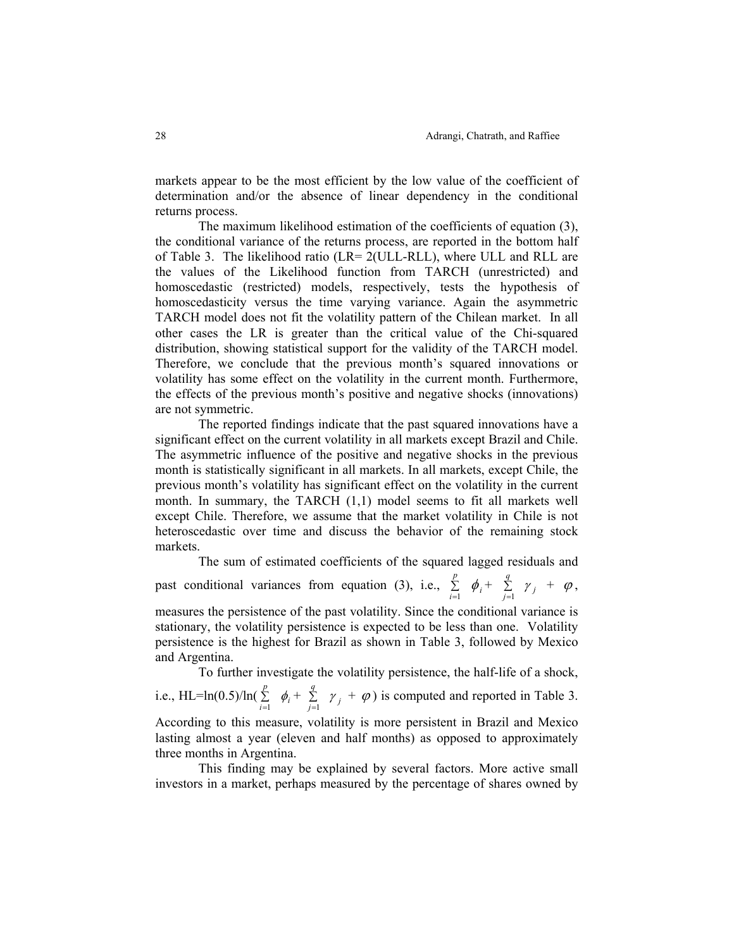markets appear to be the most efficient by the low value of the coefficient of determination and/or the absence of linear dependency in the conditional returns process.

The maximum likelihood estimation of the coefficients of equation (3), the conditional variance of the returns process, are reported in the bottom half of Table 3. The likelihood ratio (LR= 2(ULL-RLL), where ULL and RLL are the values of the Likelihood function from TARCH (unrestricted) and homoscedastic (restricted) models, respectively, tests the hypothesis of homoscedasticity versus the time varying variance. Again the asymmetric TARCH model does not fit the volatility pattern of the Chilean market. In all other cases the LR is greater than the critical value of the Chi-squared distribution, showing statistical support for the validity of the TARCH model. Therefore, we conclude that the previous month's squared innovations or volatility has some effect on the volatility in the current month. Furthermore, the effects of the previous month's positive and negative shocks (innovations) are not symmetric.

The reported findings indicate that the past squared innovations have a significant effect on the current volatility in all markets except Brazil and Chile. The asymmetric influence of the positive and negative shocks in the previous month is statistically significant in all markets. In all markets, except Chile, the previous month's volatility has significant effect on the volatility in the current month. In summary, the TARCH (1,1) model seems to fit all markets well except Chile. Therefore, we assume that the market volatility in Chile is not heteroscedastic over time and discuss the behavior of the remaining stock markets.

The sum of estimated coefficients of the squared lagged residuals and past conditional variances from equation (3), i.e.,  $\sum_{i=1}^{n}$ *p*  $\sum_{i=1}^r$   $\phi_i$  +  $\sum_{j=1}^r$  $\sum_{j=1}^q$   $\gamma_j$  +  $\varphi$ ,

measures the persistence of the past volatility. Since the conditional variance is stationary, the volatility persistence is expected to be less than one. Volatility persistence is the highest for Brazil as shown in Table 3, followed by Mexico and Argentina.

To further investigate the volatility persistence, the half-life of a shock,

i.e., HL=ln(0.5)/ln( $\sum_{i=1}^{r}$ *p*  $\sum_{i=1}^{r} \phi_i + \sum_{j=1}^{r}$  $\sum_{j=1}^{q} \gamma_j + \varphi$  is computed and reported in Table 3. According to this measure, volatility is more persistent in Brazil and Mexico

lasting almost a year (eleven and half months) as opposed to approximately three months in Argentina.

This finding may be explained by several factors. More active small investors in a market, perhaps measured by the percentage of shares owned by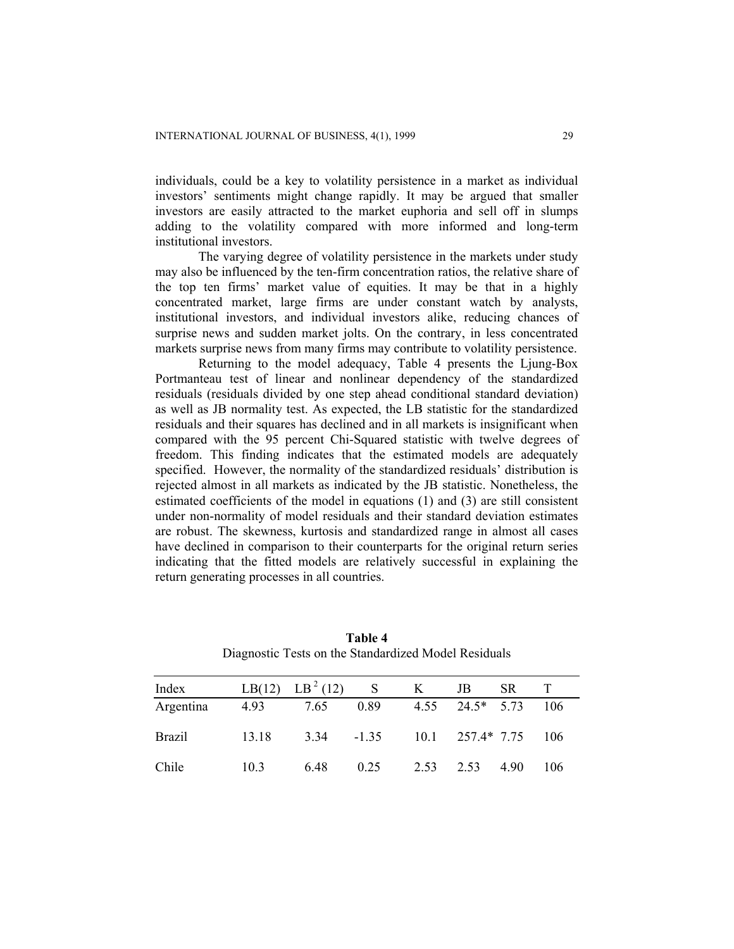individuals, could be a key to volatility persistence in a market as individual investors' sentiments might change rapidly. It may be argued that smaller investors are easily attracted to the market euphoria and sell off in slumps adding to the volatility compared with more informed and long-term institutional investors.

The varying degree of volatility persistence in the markets under study may also be influenced by the ten-firm concentration ratios, the relative share of the top ten firms' market value of equities. It may be that in a highly concentrated market, large firms are under constant watch by analysts, institutional investors, and individual investors alike, reducing chances of surprise news and sudden market jolts. On the contrary, in less concentrated markets surprise news from many firms may contribute to volatility persistence.

Returning to the model adequacy, Table 4 presents the Ljung-Box Portmanteau test of linear and nonlinear dependency of the standardized residuals (residuals divided by one step ahead conditional standard deviation) as well as JB normality test. As expected, the LB statistic for the standardized residuals and their squares has declined and in all markets is insignificant when compared with the 95 percent Chi-Squared statistic with twelve degrees of freedom. This finding indicates that the estimated models are adequately specified. However, the normality of the standardized residuals' distribution is rejected almost in all markets as indicated by the JB statistic. Nonetheless, the estimated coefficients of the model in equations (1) and (3) are still consistent under non-normality of model residuals and their standard deviation estimates are robust. The skewness, kurtosis and standardized range in almost all cases have declined in comparison to their counterparts for the original return series indicating that the fitted models are relatively successful in explaining the return generating processes in all countries.

| Index     |       | LB(12) LB <sup>2</sup> (12) | S       | K                    | JB                    | SR.  |     |
|-----------|-------|-----------------------------|---------|----------------------|-----------------------|------|-----|
| Argentina | 4.93  | 7.65                        | 0.89    |                      | $4.55$ $24.5*$ $5.73$ |      | 106 |
| Brazil    | 13.18 | 3.34                        | $-1.35$ | $10.1$ $257.4*$ 7.75 |                       |      | 106 |
| Chile     | 10.3  | 6.48                        | 0.25    | 2.53                 | 2.53                  | 4.90 | 106 |

**Table 4**  Diagnostic Tests on the Standardized Model Residuals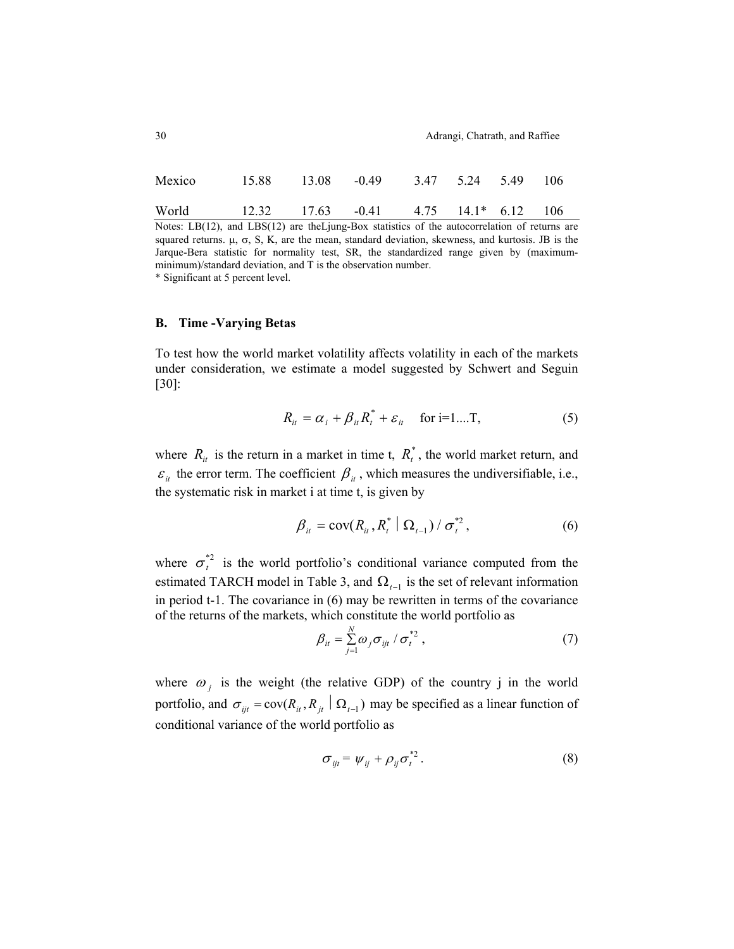|  | Adrangi, Chatrath, and Raffiee |
|--|--------------------------------|

| Mexico 15.88 13.08 -0.49 3.47 5.24 5.49 106 |                                                     |  |  |  |
|---------------------------------------------|-----------------------------------------------------|--|--|--|
| World                                       | $12.32$ $17.63$ $-0.41$ $4.75$ $14.1*$ $6.12$ $106$ |  |  |  |

Notes: LB(12), and LBS(12) are the Ljung-Box statistics of the autocorrelation of returns are squared returns.  $\mu$ ,  $\sigma$ , S, K, are the mean, standard deviation, skewness, and kurtosis. JB is the Jarque-Bera statistic for normality test, SR, the standardized range given by (maximumminimum)/standard deviation, and T is the observation number.

\* Significant at 5 percent level.

## **B. Time -Varying Betas**

To test how the world market volatility affects volatility in each of the markets under consideration, we estimate a model suggested by Schwert and Seguin [30]:

$$
R_{it} = \alpha_i + \beta_{it} R_t^* + \varepsilon_{it} \quad \text{for i=1...T},
$$
 (5)

where  $R_{it}$  is the return in a market in time t,  $R_{it}^*$ , the world market return, and  $\varepsilon$ <sub>*it*</sub> the error term. The coefficient  $\beta$ <sub>*it*</sub>, which measures the undiversifiable, i.e., the systematic risk in market i at time t, is given by

$$
\beta_{it} = \text{cov}(R_{it}, R_t^* \mid \Omega_{t-1}) / \sigma_t^{*2}, \qquad (6)
$$

where  $\sigma_t^*$  is the world portfolio's conditional variance computed from the estimated TARCH model in Table 3, and  $\Omega$ <sub>t−1</sub> is the set of relevant information in period t-1. The covariance in (6) may be rewritten in terms of the covariance of the returns of the markets, which constitute the world portfolio as

$$
\beta_{it} = \sum_{j=1}^{N} \omega_j \sigma_{ijt} / \sigma_t^{*2} , \qquad (7)
$$

where  $\omega_i$  is the weight (the relative GDP) of the country j in the world portfolio, and  $\sigma_{ijt} = \text{cov}(R_{it}, R_{jt} | \Omega_{t-1})$  may be specified as a linear function of conditional variance of the world portfolio as

$$
\sigma_{ijt} = \psi_{ij} + \rho_{ij} \sigma_t^{*2}.
$$
 (8)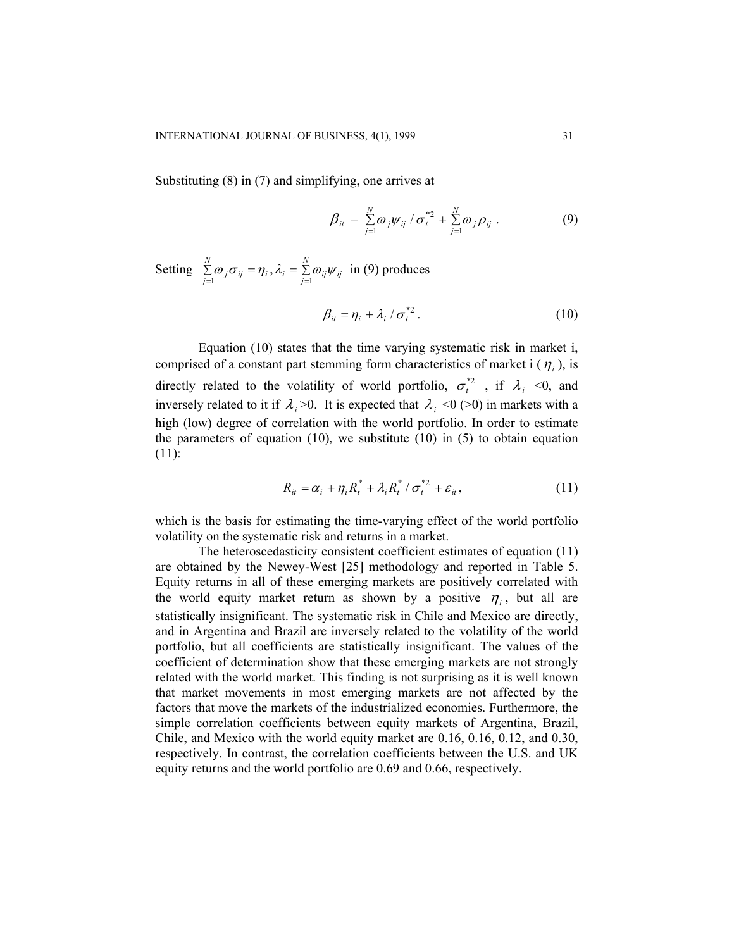Substituting (8) in (7) and simplifying, one arrives at

$$
\beta_{it} = \sum_{j=1}^{N} \omega_j \psi_{ij} / \sigma_t^{*2} + \sum_{j=1}^{N} \omega_j \rho_{ij} .
$$
 (9)

Setting  $\sum_{j=1}^{N} \omega_j \sigma_{ij} = \eta_i$ ,  $\lambda_i = \sum_{j=1}^{N} \omega_{ij} \psi_{ij}$  in (9) produces *N*  $\sum_{j=1}^{n} \omega_j \sigma_{ij} = \eta_i$ ,  $\lambda_i = \sum_{j=1}^{n} \omega_{ij} \psi$ 

$$
\beta_{it} = \eta_i + \lambda_i / \sigma_t^{*2} \,. \tag{10}
$$

Equation (10) states that the time varying systematic risk in market i, comprised of a constant part stemming form characteristics of market i  $(\eta_i)$ , is directly related to the volatility of world portfolio,  $\sigma_t^{*2}$ , if  $\lambda_i$  <0, and inversely related to it if  $\lambda_i > 0$ . It is expected that  $\lambda_i < 0$  (>0) in markets with a high (low) degree of correlation with the world portfolio. In order to estimate the parameters of equation  $(10)$ , we substitute  $(10)$  in  $(5)$  to obtain equation (11):

$$
R_{it} = \alpha_i + \eta_i R_t^* + \lambda_i R_t^* / \sigma_t^{*2} + \varepsilon_{it},
$$
\n(11)

which is the basis for estimating the time-varying effect of the world portfolio volatility on the systematic risk and returns in a market.

The heteroscedasticity consistent coefficient estimates of equation (11) are obtained by the Newey-West [25] methodology and reported in Table 5. Equity returns in all of these emerging markets are positively correlated with the world equity market return as shown by a positive  $\eta_i$ , but all are statistically insignificant. The systematic risk in Chile and Mexico are directly, and in Argentina and Brazil are inversely related to the volatility of the world portfolio, but all coefficients are statistically insignificant. The values of the coefficient of determination show that these emerging markets are not strongly related with the world market. This finding is not surprising as it is well known that market movements in most emerging markets are not affected by the factors that move the markets of the industrialized economies. Furthermore, the simple correlation coefficients between equity markets of Argentina, Brazil, Chile, and Mexico with the world equity market are 0.16, 0.16, 0.12, and 0.30, respectively. In contrast, the correlation coefficients between the U.S. and UK equity returns and the world portfolio are 0.69 and 0.66, respectively.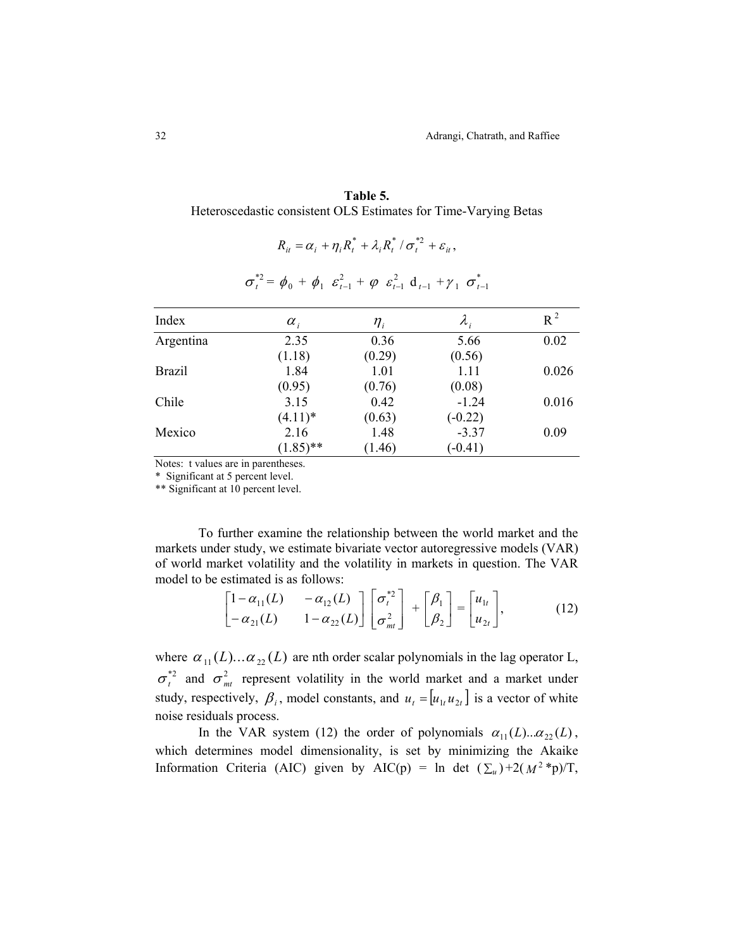| Table 5.                                                        |
|-----------------------------------------------------------------|
| Heteroscedastic consistent OLS Estimates for Time-Varying Betas |

| $\sigma_t^{*2} = \phi_0 + \phi_1 \varepsilon_{t-1}^2 + \varphi \varepsilon_{t-1}^2 d_{t-1} + \gamma_1 \sigma_{t-1}^*$ |             |             |             |       |  |
|-----------------------------------------------------------------------------------------------------------------------|-------------|-------------|-------------|-------|--|
| Index                                                                                                                 | $\alpha_i$  | $\eta_{_i}$ | $\lambda_i$ | $R^2$ |  |
| Argentina                                                                                                             | 2.35        | 0.36        | 5.66        | 0.02  |  |
|                                                                                                                       | (1.18)      | (0.29)      | (0.56)      |       |  |
| <b>Brazil</b>                                                                                                         | 1.84        | 1.01        | 1.11        | 0.026 |  |
|                                                                                                                       | (0.95)      | (0.76)      | (0.08)      |       |  |
| Chile                                                                                                                 | 3.15        | 0.42        | $-1.24$     | 0.016 |  |
|                                                                                                                       | $(4.11)*$   | (0.63)      | $(-0.22)$   |       |  |
| Mexico                                                                                                                | 2.16        | 1.48        | $-3.37$     | 0.09  |  |
|                                                                                                                       | $(1.85)$ ** | (1.46)      | $(-0.41)$   |       |  |

$$
\sigma^* = \phi_a + \phi_c \varepsilon^2 + \phi_c \varepsilon^2 d_c + \nu_c \sigma^*
$$

 $R_{it} = \alpha_i + \eta_i R_t^* + \lambda_i R_t^* / \sigma_t^{*2} + \varepsilon_{it}$ 

Notes: t values are in parentheses.

\* Significant at 5 percent level.

\*\* Significant at 10 percent level.

To further examine the relationship between the world market and the markets under study, we estimate bivariate vector autoregressive models (VAR) of world market volatility and the volatility in markets in question. The VAR model to be estimated is as follows:

$$
\begin{bmatrix} 1 - \alpha_{11}(L) & -\alpha_{12}(L) \\ -\alpha_{21}(L) & 1 - \alpha_{22}(L) \end{bmatrix} \begin{bmatrix} \sigma_t^{*2} \\ \sigma_{mt}^2 \end{bmatrix} + \begin{bmatrix} \beta_1 \\ \beta_2 \end{bmatrix} = \begin{bmatrix} u_{1t} \\ u_{2t} \end{bmatrix},
$$
(12)

where  $\alpha_{11}(L) \dots \alpha_{22}(L)$  are nth order scalar polynomials in the lag operator L,  $\sigma_t^{*2}$  and  $\sigma_{mt}^2$  represent volatility in the world market and a market under study, respectively,  $\beta_i$ , model constants, and  $u_t = [u_{1t} u_{2t}]$  is a vector of white noise residuals process.

In the VAR system (12) the order of polynomials  $\alpha_{11}(L)...\alpha_{22}(L)$ , which determines model dimensionality, is set by minimizing the Akaike Information Criteria (AIC) given by AIC(p) = ln det  $(\sum_u)+2(M^2 *p)/T$ ,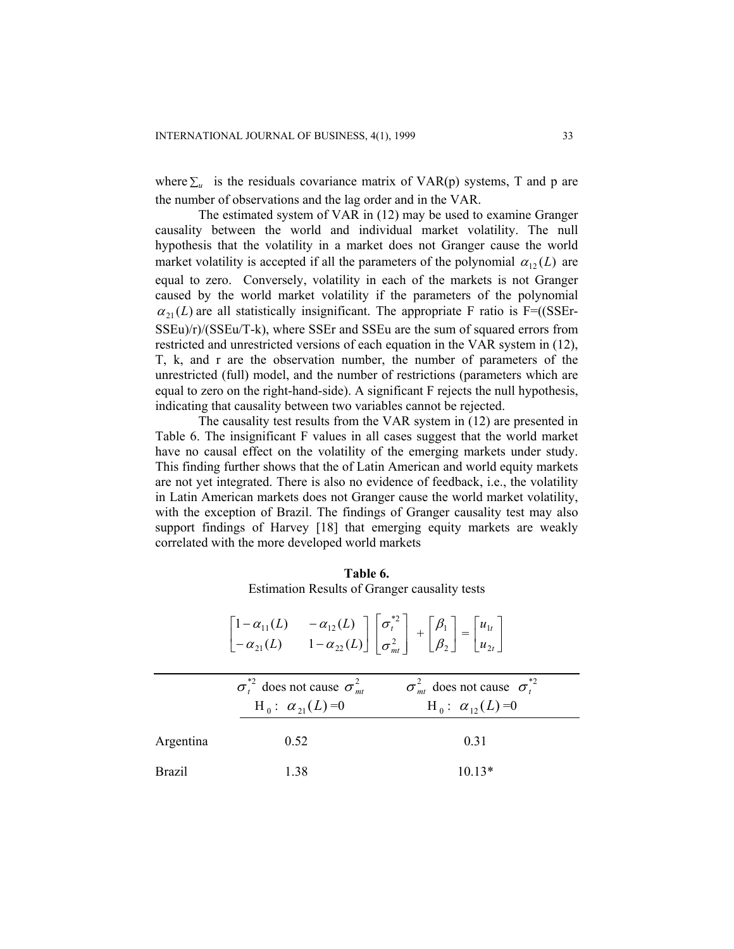where  $\Sigma_u$  is the residuals covariance matrix of VAR(p) systems, T and p are the number of observations and the lag order and in the VAR.

 $\alpha_{21}(L)$  are all statistically insignificant. The appropriate F ratio is F=((SSEr-The estimated system of VAR in (12) may be used to examine Granger causality between the world and individual market volatility. The null hypothesis that the volatility in a market does not Granger cause the world market volatility is accepted if all the parameters of the polynomial  $\alpha_{12}(L)$  are equal to zero. Conversely, volatility in each of the markets is not Granger caused by the world market volatility if the parameters of the polynomial SSEu)/r)/(SSEu/T-k), where SSEr and SSEu are the sum of squared errors from restricted and unrestricted versions of each equation in the VAR system in (12), T, k, and r are the observation number, the number of parameters of the unrestricted (full) model, and the number of restrictions (parameters which are equal to zero on the right-hand-side). A significant F rejects the null hypothesis, indicating that causality between two variables cannot be rejected.

The causality test results from the VAR system in (12) are presented in Table 6. The insignificant F values in all cases suggest that the world market have no causal effect on the volatility of the emerging markets under study. This finding further shows that the of Latin American and world equity markets are not yet integrated. There is also no evidence of feedback, i.e., the volatility in Latin American markets does not Granger cause the world market volatility, with the exception of Brazil. The findings of Granger causality test may also support findings of Harvey [18] that emerging equity markets are weakly correlated with the more developed world markets

| Table 6.                                      |
|-----------------------------------------------|
| Estimation Results of Granger causality tests |

|               | $\begin{bmatrix} 1 - \alpha_{11}(L) & -\alpha_{12}(L) \\ -\alpha_{21}(L) & 1 - \alpha_{22}(L) \end{bmatrix} \begin{bmatrix} \sigma_t^{*2} \\ \sigma_{mt}^2 \end{bmatrix} + \begin{bmatrix} \beta_1 \\ \beta_2 \end{bmatrix} = \begin{bmatrix} u_{1t} \\ u_{2t} \end{bmatrix}$ |                                                                                                                            |
|---------------|-------------------------------------------------------------------------------------------------------------------------------------------------------------------------------------------------------------------------------------------------------------------------------|----------------------------------------------------------------------------------------------------------------------------|
|               | $H_0: \alpha_{21}(L)=0$                                                                                                                                                                                                                                                       | $\sigma_t^{z_2}$ does not cause $\sigma_{mt}^2$ $\sigma_{mt}^2$ does not cause $\sigma_t^{z_2}$<br>$H_0: \alpha_{12}(L)=0$ |
| Argentina     | 0.52                                                                                                                                                                                                                                                                          | 0.31                                                                                                                       |
| <b>Brazil</b> | 1.38                                                                                                                                                                                                                                                                          | $10.13*$                                                                                                                   |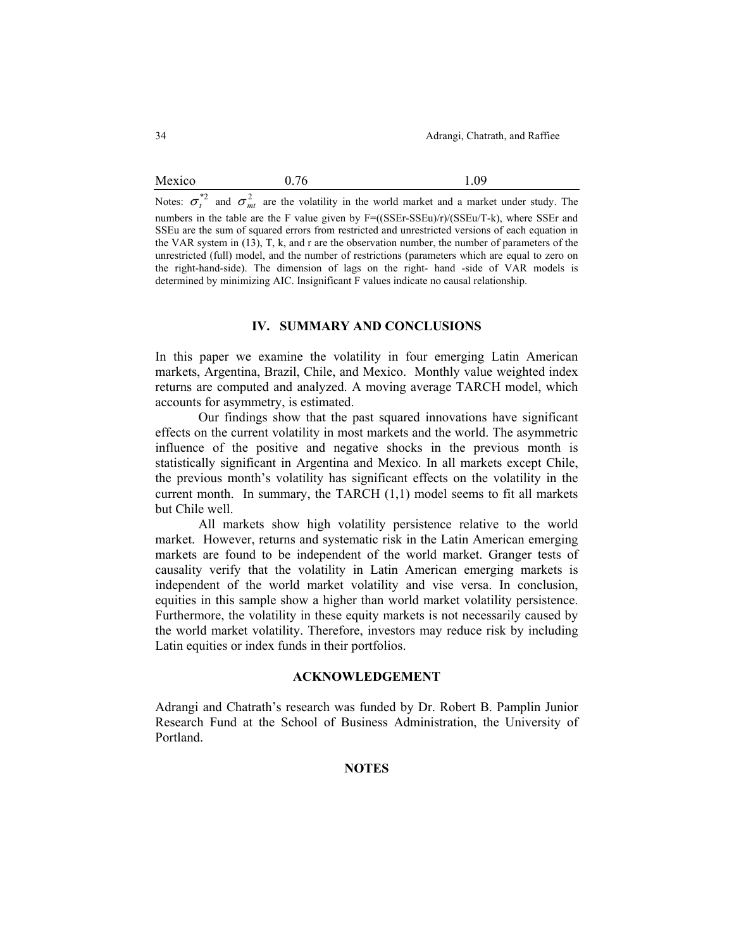### Mexico 0.76 1.09

Notes:  $\sigma_t^{\ast 2}$  and  $\sigma_{mt}^2$  are the volatility in the world market and a market under study. The numbers in the table are the F value given by  $F=(\frac{(SSEr-SSEu)}{r})/\frac{(SSEu}{T-k})$ , where SSEr and SSEu are the sum of squared errors from restricted and unrestricted versions of each equation in the VAR system in (13), T, k, and r are the observation number, the number of parameters of the unrestricted (full) model, and the number of restrictions (parameters which are equal to zero on the right-hand-side). The dimension of lags on the right- hand -side of VAR models is determined by minimizing AIC. Insignificant F values indicate no causal relationship.

## **IV. SUMMARY AND CONCLUSIONS**

In this paper we examine the volatility in four emerging Latin American markets, Argentina, Brazil, Chile, and Mexico. Monthly value weighted index returns are computed and analyzed. A moving average TARCH model, which accounts for asymmetry, is estimated.

Our findings show that the past squared innovations have significant effects on the current volatility in most markets and the world. The asymmetric influence of the positive and negative shocks in the previous month is statistically significant in Argentina and Mexico. In all markets except Chile, the previous month's volatility has significant effects on the volatility in the current month. In summary, the TARCH (1,1) model seems to fit all markets but Chile well.

All markets show high volatility persistence relative to the world market. However, returns and systematic risk in the Latin American emerging markets are found to be independent of the world market. Granger tests of causality verify that the volatility in Latin American emerging markets is independent of the world market volatility and vise versa. In conclusion, equities in this sample show a higher than world market volatility persistence. Furthermore, the volatility in these equity markets is not necessarily caused by the world market volatility. Therefore, investors may reduce risk by including Latin equities or index funds in their portfolios.

### **ACKNOWLEDGEMENT**

Adrangi and Chatrath's research was funded by Dr. Robert B. Pamplin Junior Research Fund at the School of Business Administration, the University of Portland.

#### **NOTES**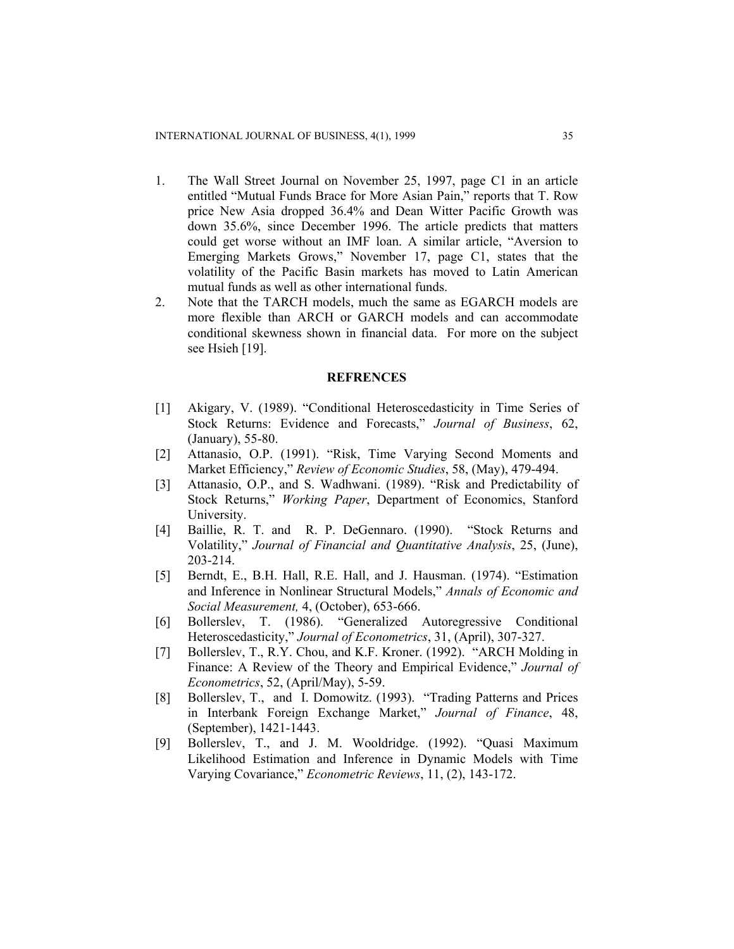- 1. The Wall Street Journal on November 25, 1997, page C1 in an article entitled "Mutual Funds Brace for More Asian Pain," reports that T. Row price New Asia dropped 36.4% and Dean Witter Pacific Growth was down 35.6%, since December 1996. The article predicts that matters could get worse without an IMF loan. A similar article, "Aversion to Emerging Markets Grows," November 17, page C1, states that the volatility of the Pacific Basin markets has moved to Latin American mutual funds as well as other international funds.
- 2. Note that the TARCH models, much the same as EGARCH models are more flexible than ARCH or GARCH models and can accommodate conditional skewness shown in financial data. For more on the subject see Hsieh [19].

#### **REFRENCES**

- [1] Akigary, V. (1989). "Conditional Heteroscedasticity in Time Series of Stock Returns: Evidence and Forecasts," *Journal of Business*, 62, (January), 55-80.
- [2] Attanasio, O.P. (1991). "Risk, Time Varying Second Moments and Market Efficiency," *Review of Economic Studies*, 58, (May), 479-494.
- [3] Attanasio, O.P., and S. Wadhwani. (1989). "Risk and Predictability of Stock Returns," *Working Paper*, Department of Economics, Stanford University.
- [4] Baillie, R. T. and R. P. DeGennaro. (1990). "Stock Returns and Volatility," *Journal of Financial and Quantitative Analysis*, 25, (June), 203-214.
- [5] Berndt, E., B.H. Hall, R.E. Hall, and J. Hausman. (1974). "Estimation and Inference in Nonlinear Structural Models," *Annals of Economic and Social Measurement,* 4, (October), 653-666.
- [6] Bollerslev, T. (1986). "Generalized Autoregressive Conditional Heteroscedasticity," *Journal of Econometrics*, 31, (April), 307-327.
- [7] Bollerslev, T., R.Y. Chou, and K.F. Kroner. (1992). "ARCH Molding in Finance: A Review of the Theory and Empirical Evidence," *Journal of Econometrics*, 52, (April/May), 5-59.
- [8] Bollerslev, T., and I. Domowitz. (1993). "Trading Patterns and Prices in Interbank Foreign Exchange Market," *Journal of Finance*, 48, (September), 1421-1443.
- [9] Bollerslev, T., and J. M. Wooldridge. (1992). "Quasi Maximum Likelihood Estimation and Inference in Dynamic Models with Time Varying Covariance," *Econometric Reviews*, 11, (2), 143-172.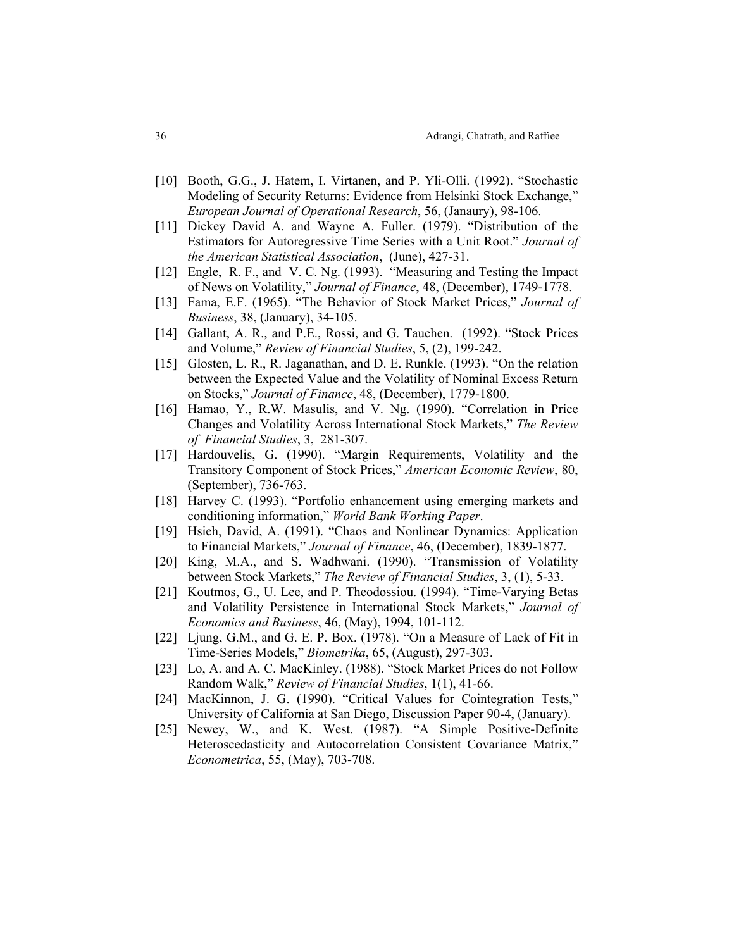- [10] Booth, G.G., J. Hatem, I. Virtanen, and P. Yli-Olli. (1992). "Stochastic Modeling of Security Returns: Evidence from Helsinki Stock Exchange," *European Journal of Operational Research*, 56, (Janaury), 98-106.
- [11] Dickey David A. and Wayne A. Fuller. (1979). "Distribution of the Estimators for Autoregressive Time Series with a Unit Root." *Journal of the American Statistical Association*, (June), 427-31.
- [12] Engle, R. F., and V. C. Ng. (1993). "Measuring and Testing the Impact of News on Volatility," *Journal of Finance*, 48, (December), 1749-1778.
- [13] Fama, E.F. (1965). "The Behavior of Stock Market Prices," *Journal of Business*, 38, (January), 34-105.
- [14] Gallant, A. R., and P.E., Rossi, and G. Tauchen. (1992). "Stock Prices and Volume," *Review of Financial Studies*, 5, (2), 199-242.
- [15] Glosten, L. R., R. Jaganathan, and D. E. Runkle. (1993). "On the relation between the Expected Value and the Volatility of Nominal Excess Return on Stocks," *Journal of Finance*, 48, (December), 1779-1800.
- [16] Hamao, Y., R.W. Masulis, and V. Ng. (1990). "Correlation in Price Changes and Volatility Across International Stock Markets," *The Review of Financial Studies*, 3, 281-307.
- [17] Hardouvelis, G. (1990). "Margin Requirements, Volatility and the Transitory Component of Stock Prices," *American Economic Review*, 80, (September), 736-763.
- [18] Harvey C. (1993). "Portfolio enhancement using emerging markets and conditioning information," *World Bank Working Paper*.
- [19] Hsieh, David, A. (1991). "Chaos and Nonlinear Dynamics: Application to Financial Markets," *Journal of Finance*, 46, (December), 1839-1877.
- [20] King, M.A., and S. Wadhwani. (1990). "Transmission of Volatility between Stock Markets," *The Review of Financial Studies*, 3, (1), 5-33.
- [21] Koutmos, G., U. Lee, and P. Theodossiou. (1994). "Time-Varying Betas and Volatility Persistence in International Stock Markets," *Journal of Economics and Business*, 46, (May), 1994, 101-112.
- [22] Ljung, G.M., and G. E. P. Box. (1978). "On a Measure of Lack of Fit in Time-Series Models," *Biometrika*, 65, (August), 297-303.
- [23] Lo, A. and A. C. MacKinley. (1988). "Stock Market Prices do not Follow Random Walk," *Review of Financial Studies*, 1(1), 41-66.
- [24] MacKinnon, J. G. (1990). "Critical Values for Cointegration Tests," University of California at San Diego, Discussion Paper 90-4, (January).
- [25] Newey, W., and K. West. (1987). "A Simple Positive-Definite Heteroscedasticity and Autocorrelation Consistent Covariance Matrix," *Econometrica*, 55, (May), 703-708.